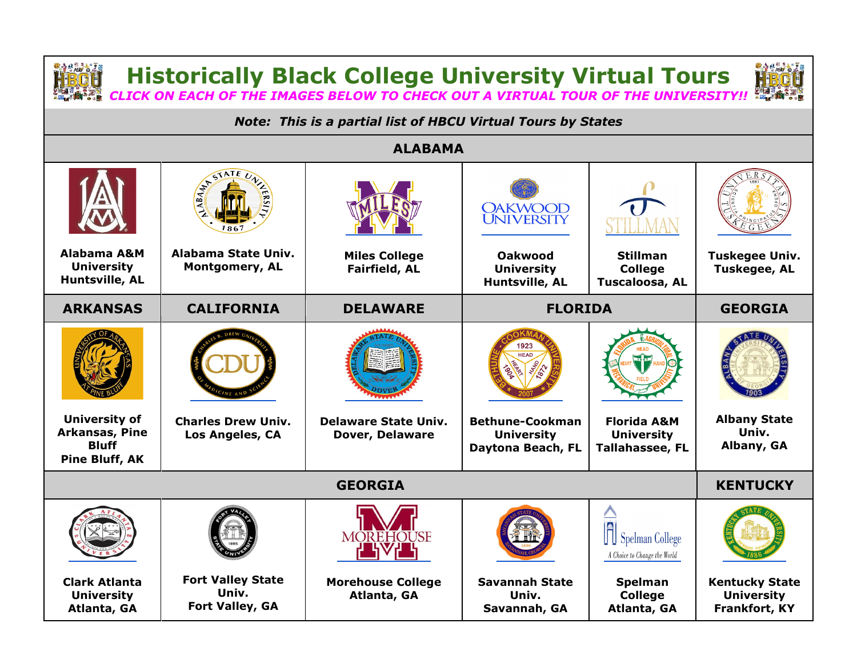**Historically Black College University Virtual Tours**

*CLICK ON EACH OF THE IMAGES BELOW TO CHECK OUT A VIRTUAL TOUR OF THE UNIVERSITY!!*

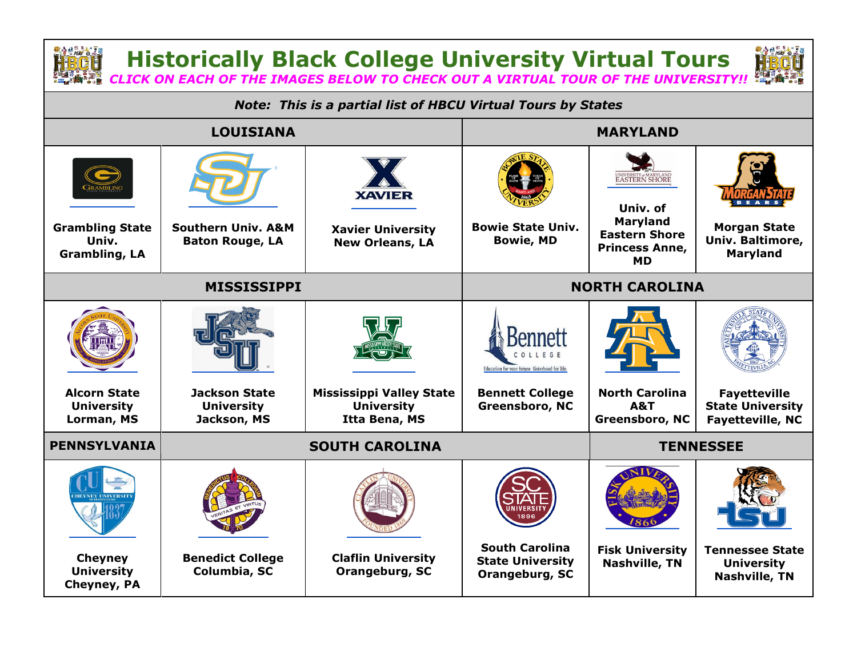

**Historically Black College University Virtual Tours** *CLICK ON EACH OF THE IMAGES BELOW TO CHECK OUT A VIRTUAL TOUR OF THE UNIVERSITY!!*



*Note: This is a partial list of HBCU Virtual Tours by States* **LOUISIANA MARYLAND** JNIVERSITY#MARYLAND<br>E**ASTERN SHORE XAVIER Univ. of Maryland Grambling State Southern Univ. A&M Bowie State Univ. Morgan State Xavier University Eastern Shore Univ. Bowie, MD Univ. Baltimore, Baton Rouge, LA New Orleans, LA Princess Anne, Maryland Grambling, LA MD MISSISSIPPI NORTH CAROLINA Bennett** Education for your future. Sisterhood for life **North Carolina Alcorn State Jackson State Mississippi Valley State Bennett College Fayetteville Greensboro, NC University University University A&T State University Lorman, MS Jackson, MS Itta Bena, MS Greensboro, NC Fayetteville, NC PENNSYLVANIA SOUTH CAROLINA TENNESSEE South Carolina Fisk University Tennessee State Benedict College Claflin University Cheyney State University Nashville, TN University University Columbia, SC Orangeburg, SC Orangeburg, SC Nashville, TNCheyney, PA**